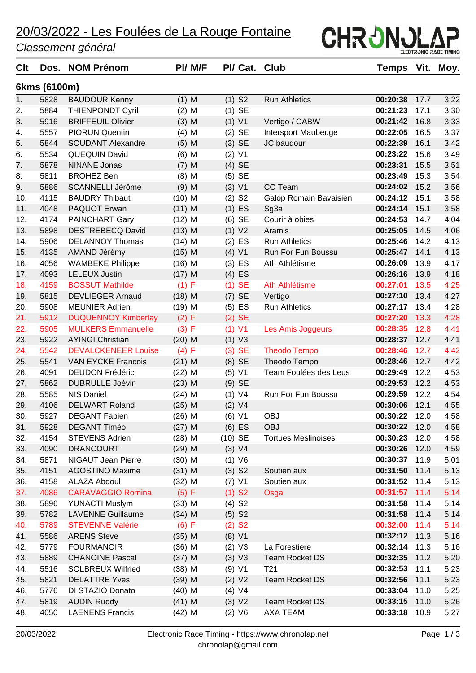### 20/03/2022 - Les Foulées de La Rouge Fontaine

#### *Classement général*

| Clt | Dos.         | <b>NOM Prénom</b>          | <b>PI/ M/F</b> | PI/ Cat. Club        |                            | <b>Temps</b>  | Vit. | Moy. |
|-----|--------------|----------------------------|----------------|----------------------|----------------------------|---------------|------|------|
|     | 6kms (6100m) |                            |                |                      |                            |               |      |      |
| 1.  | 5828         | <b>BAUDOUR Kenny</b>       | $(1)$ M        | $(1)$ S <sub>2</sub> | <b>Run Athletics</b>       | 00:20:38      | 17.7 | 3:22 |
| 2.  | 5884         | <b>THIENPONDT Cyril</b>    | $(2)$ M        | $(1)$ SE             |                            | 00:21:23      | 17.1 | 3:30 |
| 3.  | 5916         | <b>BRIFFEUIL Olivier</b>   | $(3)$ M        | (1) V1               | Vertigo / CABW             | 00:21:42      | 16.8 | 3:33 |
| 4.  | 5557         | <b>PIORUN Quentin</b>      | $(4)$ M        | $(2)$ SE             | Intersport Maubeuge        | 00:22:05      | 16.5 | 3:37 |
| 5.  | 5844         | <b>SOUDANT Alexandre</b>   | $(5)$ M        | $(3)$ SE             | JC baudour                 | 00:22:39      | 16.1 | 3:42 |
| 6.  | 5534         | <b>QUEQUIN David</b>       | $(6)$ M        | $(2)$ V1             |                            | 00:23:22      | 15.6 | 3:49 |
| 7.  | 5878         | <b>NINANE Jonas</b>        | $(7)$ M        | $(4)$ SE             |                            | 00:23:31      | 15.5 | 3:51 |
| 8.  | 5811         | <b>BROHEZ Ben</b>          | $(8)$ M        | $(5)$ SE             |                            | 00:23:49      | 15.3 | 3:54 |
| 9.  | 5886         | SCANNELLI Jérôme           | $(9)$ M        | (3) V1               | CC Team                    | 00:24:02      | 15.2 | 3:56 |
| 10. | 4115         | <b>BAUDRY Thibaut</b>      | $(10)$ M       | $(2)$ S <sub>2</sub> | Galop Romain Bavaisien     | 00:24:12      | 15.1 | 3:58 |
| 11. | 4048         | PAQUOT Erwan               | $(11)$ M       | $(1)$ ES             | Sg <sub>3</sub> a          | 00:24:14      | 15.1 | 3:58 |
| 12. | 4174         | <b>PAINCHART Gary</b>      | $(12)$ M       | $(6)$ SE             | Courir à obies             | 00:24:53      | 14.7 | 4:04 |
| 13. | 5898         | <b>DESTREBECQ David</b>    | $(13)$ M       | (1) V2               | Aramis                     | 00:25:05      | 14.5 | 4:06 |
| 14. | 5906         | <b>DELANNOY Thomas</b>     | $(14)$ M       | $(2)$ ES             | <b>Run Athletics</b>       | 00:25:46      | 14.2 | 4:13 |
| 15. | 4135         | AMAND Jérémy               | $(15)$ M       | (4) V1               | Run For Fun Boussu         | 00:25:47      | 14.1 | 4:13 |
| 16. | 4056         | <b>WAMBEKE Philippe</b>    | $(16)$ M       | $(3)$ ES             | Ath Athlétisme             | 00:26:09      | 13.9 | 4:17 |
| 17. | 4093         | <b>LELEUX Justin</b>       | $(17)$ M       | $(4)$ ES             |                            | 00:26:16      | 13.9 | 4:18 |
| 18. | 4159         | <b>BOSSUT Mathilde</b>     | (1) F          | $(1)$ SE             | Ath Athlétisme             | 00:27:01      | 13.5 | 4:25 |
| 19. | 5815         | <b>DEVLIEGER Arnaud</b>    | $(18)$ M       | $(7)$ SE             | Vertigo                    | 00:27:10      | 13.4 | 4:27 |
| 20. | 5908         | <b>MEUNIER Adrien</b>      | $(19)$ M       | $(5)$ ES             | <b>Run Athletics</b>       | 00:27:17      | 13.4 | 4:28 |
| 21. | 5912         | <b>DUQUENNOY Kimberlay</b> | (2) F          | $(2)$ SE             |                            | 00:27:20      | 13.3 | 4:28 |
| 22. | 5905         | <b>MULKERS Emmanuelle</b>  | (3) F          | $(1)$ V1             | Les Amis Joggeurs          | 00:28:35      | 12.8 | 4:41 |
| 23. | 5922         | <b>AYINGI Christian</b>    | $(20)$ M       | (1) V3               |                            | 00:28:37      | 12.7 | 4:41 |
| 24. | 5542         | <b>DEVALCKENEER Louise</b> | (4) F          | $(3)$ SE             | <b>Theodo Tempo</b>        | 00:28:46      | 12.7 | 4:42 |
| 25. | 5541         | <b>VAN EYCKE Francois</b>  | $(21)$ M       | $(8)$ SE             | Theodo Tempo               | 00:28:46      | 12.7 | 4:42 |
| 26. | 4091         | <b>DEUDON Frédéric</b>     | $(22)$ M       | (5) V1               | Team Foulées des Leus      | 00:29:49      | 12.2 | 4:53 |
| 27. | 5862         | <b>DUBRULLE Joévin</b>     | $(23)$ M       | $(9)$ SE             |                            | 00:29:53      | 12.2 | 4:53 |
| 28. | 5585         | <b>NIS Daniel</b>          | $(24)$ M       | (1) V4               | Run For Fun Boussu         | 00:29:59      | 12.2 | 4:54 |
| 29. | 4106         | <b>DELWART Roland</b>      | $(25)$ M       | (2) V4               |                            | 00:30:06      | 12.1 | 4:55 |
| 30. | 5927         | <b>DEGANT Fabien</b>       | $(26)$ M       | (6) V1               | <b>OBJ</b>                 | 00:30:22      | 12.0 | 4:58 |
| 31. | 5928         | <b>DEGANT Timéo</b>        | $(27)$ M       | $(6)$ ES             | <b>OBJ</b>                 | 00:30:22      | 12.0 | 4:58 |
| 32. | 4154         | <b>STEVENS Adrien</b>      | $(28)$ M       | $(10)$ SE            | <b>Tortues Meslinoises</b> | 00:30:23      | 12.0 | 4:58 |
| 33. | 4090         | <b>DRANCOURT</b>           | $(29)$ M       | (3) V4               |                            | 00:30:26      | 12.0 | 4:59 |
| 34. | 5871         | NIGAUT Jean Pierre         | $(30)$ M       | (1) V6               |                            | 00:30:37      | 11.9 | 5:01 |
| 35. | 4151         | <b>AGOSTINO Maxime</b>     | $(31)$ M       | $(3)$ S <sub>2</sub> | Soutien aux                | 00:31:50      | 11.4 | 5:13 |
| 36. | 4158         | ALAZA Abdoul               | $(32)$ M       | $(7)$ V1             | Soutien aux                | 00:31:52      | 11.4 | 5:13 |
| 37. | 4086         | <b>CARAVAGGIO Romina</b>   | (5) F          | $(1)$ S <sub>2</sub> | Osga                       | 00:31:57 11.4 |      | 5:14 |
| 38. | 5896         | <b>YUNACTI Muslym</b>      | $(33)$ M       | $(4)$ S <sub>2</sub> |                            | 00:31:58      | 11.4 | 5:14 |
| 39. | 5782         | <b>LAVENNE Guillaume</b>   | $(34)$ M       | $(5)$ S <sub>2</sub> |                            | 00:31:58      | 11.4 | 5:14 |
| 40. | 5789         | <b>STEVENNE Valérie</b>    | (6) F          | $(2)$ S <sub>2</sub> |                            | 00:32:00 11.4 |      | 5:14 |
| 41. | 5586         | <b>ARENS Steve</b>         | $(35)$ M       | (8) V1               |                            | 00:32:12      | 11.3 | 5:16 |
| 42. | 5779         | <b>FOURMANOIR</b>          | $(36)$ M       | (2) V3               | La Forestiere              | 00:32:14      | 11.3 | 5:16 |
| 43. | 5889         | <b>CHANOINE Pascal</b>     | $(37)$ M       | (3) V3               | <b>Team Rocket DS</b>      | 00:32:35      | 11.2 | 5:20 |
| 44. | 5516         | <b>SOLBREUX Wilfried</b>   | $(38)$ M       | (9) V1               | T <sub>21</sub>            | 00:32:53      | 11.1 | 5:23 |
| 45. | 5821         | <b>DELATTRE Yves</b>       | $(39)$ M       | (2) V2               | <b>Team Rocket DS</b>      | 00:32:56      | 11.1 | 5:23 |
| 46. | 5776         | DI STAZIO Donato           | $(40)$ M       | (4) V4               |                            | 00:33:04      | 11.0 | 5:25 |
| 47. | 5819         | <b>AUDIN Ruddy</b>         | $(41)$ M       | (3) V2               | <b>Team Rocket DS</b>      | 00:33:15      | 11.0 | 5:26 |
| 48. | 4050         | <b>LAENENS Francis</b>     | $(42)$ M       | (2) V6               | AXA TEAM                   | 00:33:18 10.9 |      | 5:27 |
|     |              |                            |                |                      |                            |               |      |      |

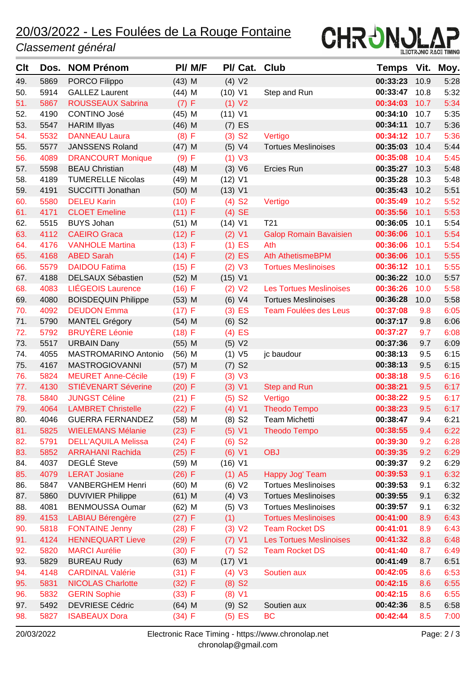# 20/03/2022 - Les Foulées de La Rouge Fontaine

### *Classement général*



| <b>C</b> It | Dos. | <b>NOM Prénom</b>          | PI/ M/F  | PI/ Cat.             | <b>Club</b>                    | Temps    | Vit. | Moy. |
|-------------|------|----------------------------|----------|----------------------|--------------------------------|----------|------|------|
| 49.         | 5869 | PORCO Filippo              | $(43)$ M | (4) V2               |                                | 00:33:23 | 10.9 | 5:28 |
| 50.         | 5914 | <b>GALLEZ Laurent</b>      | $(44)$ M | (10) V1              | Step and Run                   | 00:33:47 | 10.8 | 5:32 |
| 51.         | 5867 | ROUSSEAUX Sabrina          | (7) F    | (1) V2               |                                | 00:34:03 | 10.7 | 5:34 |
| 52.         | 4190 | CONTINO José               | $(45)$ M | (11) V1              |                                | 00:34:10 | 10.7 | 5:35 |
| 53.         | 5547 | <b>HARIM Illyas</b>        | $(46)$ M | $(7)$ ES             |                                | 00:34:11 | 10.7 | 5:36 |
| 54.         | 5532 | <b>DANNEAU Laura</b>       | (8) F    | $(3)$ S <sub>2</sub> | Vertigo                        | 00:34:12 | 10.7 | 5:36 |
| 55.         | 5577 | <b>JANSSENS Roland</b>     | $(47)$ M | (5) V4               | <b>Tortues Meslinoises</b>     | 00:35:03 | 10.4 | 5:44 |
| 56.         | 4089 | <b>DRANCOURT Monique</b>   | (9) F    | (1) V3               |                                | 00:35:08 | 10.4 | 5:45 |
| 57.         | 5598 | <b>BEAU Christian</b>      | $(48)$ M | (3) V6               | Ercies Run                     | 00:35:27 | 10.3 | 5:48 |
| 58.         | 4189 | <b>TUMERELLE Nicolas</b>   | $(49)$ M | $(12)$ V1            |                                | 00:35:28 | 10.3 | 5:48 |
| 59.         | 4191 | SUCCITTI Jonathan          | $(50)$ M | (13) V1              |                                | 00:35:43 | 10.2 | 5:51 |
| 60.         | 5580 | <b>DELEU Karin</b>         | (10) F   | $(4)$ S <sub>2</sub> | Vertigo                        | 00:35:49 | 10.2 | 5:52 |
| 61.         | 4171 | <b>CLOET Emeline</b>       | (11) F   | $(4)$ SE             |                                | 00:35:56 | 10.1 | 5:53 |
| 62.         | 5515 | <b>BUYS Johan</b>          | $(51)$ M | $(14)$ V1            | T <sub>21</sub>                | 00:36:05 | 10.1 | 5:54 |
| 63.         | 4112 | <b>CAEIRO Graca</b>        | (12) F   | $(2)$ V1             | <b>Galop Romain Bavaisien</b>  | 00:36:06 | 10.1 | 5:54 |
| 64.         | 4176 | <b>VANHOLE Martina</b>     | $(13)$ F | $(1)$ ES             | Ath                            | 00:36:06 | 10.1 | 5:54 |
| 65.         | 4168 | <b>ABED Sarah</b>          | (14) F   | $(2)$ ES             | <b>Ath AthetismeBPM</b>        | 00:36:06 | 10.1 | 5:55 |
| 66.         | 5579 | <b>DAIDOU Fatima</b>       | (15) F   | (2) V3               | <b>Tortues Meslinoises</b>     | 00:36:12 | 10.1 | 5:55 |
| 67.         | 4188 | <b>DELSAUX Sébastien</b>   | $(52)$ M | (15) V1              |                                | 00:36:22 | 10.0 | 5:57 |
| 68.         | 4083 | <b>LIÉGEOIS Laurence</b>   | (16) F   | (2) V2               | <b>Les Tortues Meslinoises</b> | 00:36:26 | 10.0 | 5:58 |
| 69.         | 4080 | <b>BOISDEQUIN Philippe</b> | $(53)$ M | (6) V4               | <b>Tortues Meslinoises</b>     | 00:36:28 | 10.0 | 5:58 |
| 70.         | 4092 | <b>DEUDON Emma</b>         | (17) F   | $(3)$ ES             | Team Foulées des Leus          | 00:37:08 | 9.8  | 6:05 |
| 71.         | 5790 | <b>MANTEL Grégory</b>      | $(54)$ M | $(6)$ S <sub>2</sub> |                                | 00:37:17 | 9.8  | 6:06 |
| 72.         | 5792 | <b>BRUYÈRE Léonie</b>      | (18) F   | $(4)$ ES             |                                | 00:37:27 | 9.7  | 6:08 |
| 73.         | 5517 | <b>URBAIN Dany</b>         | $(55)$ M | (5) V2               |                                | 00:37:36 | 9.7  | 6:09 |
| 74.         | 4055 | MASTROMARINO Antonio       | $(56)$ M | (1) V5               | jc baudour                     | 00:38:13 | 9.5  | 6:15 |
| 75.         | 4167 | <b>MASTROGIOVANNI</b>      | $(57)$ M | $(7)$ S <sub>2</sub> |                                | 00:38:13 | 9.5  | 6:15 |
| 76.         | 5824 | <b>MEURET Anne-Cécile</b>  | (19) F   | (3) V3               |                                | 00:38:18 | 9.5  | 6:16 |
| 77.         | 4130 | <b>STIÉVENART Séverine</b> | $(20)$ F | (3) V1               | <b>Step and Run</b>            | 00:38:21 | 9.5  | 6:17 |
| 78.         | 5840 | <b>JUNGST Céline</b>       | $(21)$ F | $(5)$ S <sub>2</sub> | Vertigo                        | 00:38:22 | 9.5  | 6:17 |
| 79.         | 4064 | <b>LAMBRET Christelle</b>  | (22) F   | (4) V1               | <b>Theodo Tempo</b>            | 00:38:23 | 9.5  | 6:17 |
| 80.         | 4046 | <b>GUERRA FERNANDEZ</b>    | $(58)$ M | $(8)$ S <sub>2</sub> | Team Michetti                  | 00:38:47 | 9.4  | 6:21 |
| 81.         | 5825 | <b>WIELEMANS Mélanie</b>   | (23) F   | (5) V1               | <b>Theodo Tempo</b>            | 00:38:55 | 9.4  | 6:22 |
| 82.         | 5791 | <b>DELL'AQUILA Melissa</b> | (24) F   | $(6)$ S <sub>2</sub> |                                | 00:39:30 | 9.2  | 6:28 |
| 83.         | 5852 | <b>ARRAHANI Rachida</b>    | (25) F   | (6) V1               | <b>OBJ</b>                     | 00:39:35 | 9.2  | 6:29 |
| 84.         | 4037 | <b>DEGLÉ Steve</b>         | $(59)$ M | (16) V1              |                                | 00:39:37 | 9.2  | 6:29 |
| 85.         | 4079 | <b>LERAT Josiane</b>       | $(26)$ F | $(1)$ A5             | Happy Jog' Team                | 00:39:53 | 9.1  | 6:32 |
| 86.         | 5847 | <b>VANBERGHEM Henri</b>    | $(60)$ M | (6) V2               | <b>Tortues Meslinoises</b>     | 00:39:53 | 9.1  | 6:32 |
| 87.         | 5860 | <b>DUVIVIER Philippe</b>   | $(61)$ M | $(4)$ V3             | <b>Tortues Meslinoises</b>     | 00:39:55 | 9.1  | 6:32 |
| 88.         | 4081 | <b>BENMOUSSA Oumar</b>     | $(62)$ M | $(5)$ V3             | <b>Tortues Meslinoises</b>     | 00:39:57 | 9.1  | 6:32 |
| 89.         | 4153 | <b>LABIAU Bérengère</b>    | (27) F   | (1)                  | <b>Tortues Meslinoises</b>     | 00:41:00 | 8.9  | 6:43 |
| 90.         | 5818 | <b>FONTAINE Jenny</b>      | (28) F   | (3) V2               | <b>Team Rocket DS</b>          | 00:41:01 | 8.9  | 6:43 |
| 91.         | 4124 | <b>HENNEQUART Lieve</b>    | $(29)$ F | $(7)$ V1             | <b>Les Tortues Meslinoises</b> | 00:41:32 | 8.8  | 6:48 |
| 92.         | 5820 | <b>MARCI Aurélie</b>       | $(30)$ F | $(7)$ S <sub>2</sub> | <b>Team Rocket DS</b>          | 00:41:40 | 8.7  | 6:49 |
| 93.         | 5829 | <b>BUREAU Rudy</b>         | $(63)$ M | (17) V1              |                                | 00:41:49 | 8.7  | 6:51 |
| 94.         | 4148 | <b>CARDINAL Valérie</b>    | (31) F   | (4) V3               | Soutien aux                    | 00:42:05 | 8.6  | 6:53 |
| 95.         | 5831 | <b>NICOLAS Charlotte</b>   | (32) F   | $(8)$ S <sub>2</sub> |                                | 00:42:15 | 8.6  | 6:55 |
| 96.         | 5832 | <b>GERIN Sophie</b>        | (33) F   | (8) V1               |                                | 00:42:15 | 8.6  | 6:55 |
| 97.         | 5492 | <b>DEVRIESE Cédric</b>     | $(64)$ M | $(9)$ S <sub>2</sub> | Soutien aux                    | 00:42:36 | 8.5  | 6:58 |
| 98.         | 5827 | <b>ISABEAUX Dora</b>       | (34) F   | $(5)$ ES             | <b>BC</b>                      | 00:42:44 | 8.5  | 7:00 |
|             |      |                            |          |                      |                                |          |      |      |